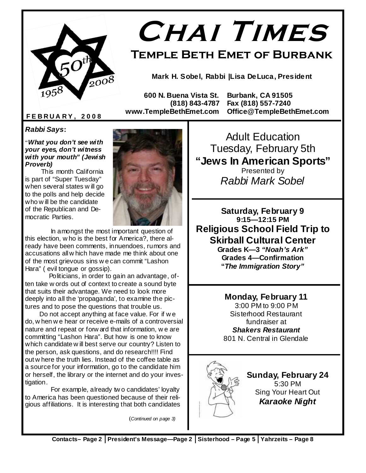

# **Chai Times**

**Temple Beth Emet of Burbank** 

**Mark H. Sobel, Rabbi |Lisa DeLuca, President** 

 **600 N. Buena Vista St. Burbank, CA 91505 (818) 843-4787 Fax (818) 557-7240 www.TempleBethEmet.com Office@TempleBethEmet.com** 

#### **F E B R U A R Y , 2 0 0 8**

**Rabbi Says:**

"**What you don't see with your eyes, don't witness with your mouth" (Jewish Proverb)**

 This month California is part of "Super Tuesday" when several states w ill go to the polls and help decide who w ill be the candidate of the Republican and Democratic Parties.



 In amongst the most important question of this election, w ho is the best for America?, there already have been comments, innuendoes, rumors and accusations all w hich have made me think about one of the most grievous sins w e can commit "Lashon Hara" ( evil tongue or gossip).

 Politicians, in order to gain an advantage, often take w ords out of context to create a sound byte that suits their advantage. We need to look more deeply into all the 'propaganda', to examine the pictures and to pose the questions that trouble us.

 Do not accept anything at face value. For if w e do, w hen w e hear or receive e-mails of a controversial nature and repeat or forw ard that information, w e are committing "Lashon Hara". But how is one to know which candidate w ill best serve our country? Listen to the person, ask questions, and do research!!!! Find out w here the truth lies. Instead of the coffee table as a source for your information, go to the candidate him or herself, the library or the internet and do your investigation.

 For example, already tw o candidates' loyalty to America has been questioned because of their religious affiliations. It is interesting that both candidates

(Continued on page 3)

Adult Education Tuesday, February 5th **"Jews In American Sports"**  Presented by Rabbi Mark Sobel

**Saturday, February 9 9:15—12:15 PM Religious School Field Trip to Skirball Cultural Center Grades K—3 "Noah's Ark" Grades 4—Confirmation "The Immigration Story"** 

> **Monday, February 11**  3:00 PM to 9:00 PM Sisterhood Restaurant fundraiser at **Shakers Restaurant**  801 N. Central in Glendale



**Sunday, February 24**  5:30 PM Sing Your Heart Out **Karaoke Night**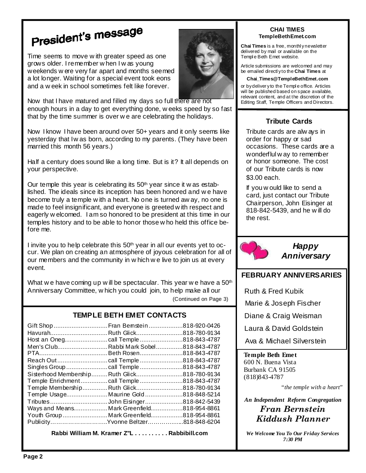## President's message

Time seems to move w ith greater speed as one grows older. I remember w hen I w as young weekends w ere very far apart and months seemed a lot longer. Waiting for a special event took eons and a w eek in school sometimes felt like forever.

Now that I have matured and filled my days so full there are not enough hours in a day to get everything done, w eeks speed by so fast that by the time summer is over w e are celebrating the holidays.

Now I know I have been around over 50+ years and it only seems like yesterday that Iw as born, according to my parents. (They have been married this month 56 years.)

Half a century does sound like a long time. But is it? It all depends on your perspective.

Our temple this year is celebrating its 50<sup>th</sup> year since it w as established. The ideals since its inception has been honored and w e have become truly a temple w ith a heart. No one is turned aw ay, no one is made to feel insignificant, and everyone is greeted w ith respect and eagerly w elcomed. I am so honored to be president at this time in our temples history and to be able to honor those w ho held this office before me.

I invite you to help celebrate this 50<sup>th</sup> year in all our events yet to occur. We plan on creating an atmosphere of joyous celebration for all of our members and the community in w hich w e live to join us at every event.

What w e have coming up w ill be spectacular. This year w e have a 50<sup>th</sup> Anniversary Committee, w hich you could join, to help make all our (Continued on Page 3)

#### **TEMPLE BETH EMET CONTACTS**

| HavurahRuth Glick818-780-9134                |               |
|----------------------------------------------|---------------|
|                                              |               |
| Men's ClubRabbi Mark Sobel                   | 818-843-4787  |
|                                              |               |
|                                              |               |
|                                              |               |
| Sisterhood Membership Ruth Glick818-780-9134 |               |
|                                              |               |
| Temple MembershipRuth Glick818-780-9134      |               |
| Temple Usage Maurine Gold                    | .818-848-5214 |
| TributesJohn Eisinger818-842-5439            |               |
| Ways and Means Mark Greenfield818-954-8861   |               |
| Youth GroupMark Greenfield818-954-8861       |               |
| PublicityYvonne Beltzer818-848-6204          |               |
|                                              |               |

**Rabbi William M. Kramer Z''L . . . . . . . . . . Rabbibill.com** 



#### **CHAI TIMES TempleBethEmet.com**

**Chai Times** is a free, monthl y newsletter delivered by mail or available on the Templ e Beth Emet website.

Article submissions are welcomed and may be emailed directl y to the **Chai Times** at

#### **Chai\_Times@TempleBethEmet.com**

or by deliver y to the Templ e office. Articles will be published based on space a vailable, relevant content, and at the discretion of the Editing Staff, Temple Officers and Directors.

#### **Tribute Cards**

Tribute cards are alw ays in order for happy or sad occasions. These cards are a wonderflul w ay to remember or honor someone. The cost of our Tribute cards is now \$3.00 each.

If you w ould like to send a card, just contact our Tribute Chairperson, John Eisinger at 818-842-5439, and he w ill do the rest.



**Happy Anniversary**

#### **FEBRUARY ANNIVERSARIES**

Ruth & Fred Kubik

Marie & Joseph Fischer

Diane & Craig Weisman

Laura & David Goldstein

Ava & Michael Silverstein

**Temple Beth Emet** 600 N. Buena Vista Burbank CA 91505 (818)843-4787

"*the temple with a heart*"

*An Independent Reform Congregation* Fran Bernstein Kiddush Planner

*We Welcome You To Our Friday Services 7:30 PM*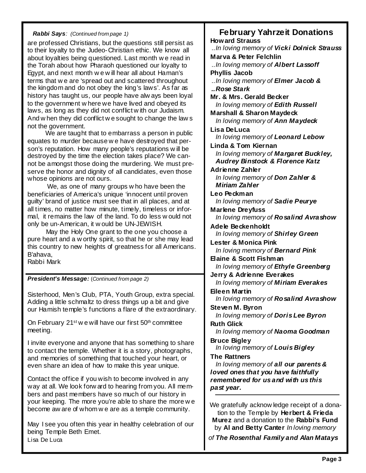#### **Rabbi Says**: (Continued from page 1)

are professed Christians, but the questions still persist as to their loyalty to the Judeo-Christian ethic. We know all about loyalties being questioned. Last month w e read in the Torah about how Pharaoh questioned our loyalty to Egypt, and next month w e w ill hear all about Haman's terms that w e are 'spread out and scattered throughout the kingdom and do not obey the king's laws'. As far as history has taught us, our people have alw ays been loyal to the government w here we have lived and obeyed its laws, as long as they did not conflict w ith our Judaism. And w hen they did conflict w e sought to change the law s not the government.

 We are taught that to embarrass a person in public equates to murder because w e have destroyed that person's reputation. How many people's reputations w ill be destroyed by the time the election takes place? We cannot be amongst those doing the murdering. We must preserve the honor and dignity of all candidates, even those whose opinions are not ours.

 We, as one of many groups w ho have been the beneficiaries of America's unique 'innocent until proven guilty' brand of justice must see that in all places, and at all times, no matter how minute, timely, timeless or informal, it remains the law of the land. To do less w ould not only be un-American, it w ould be UN-JEWISH.

 May the Holy One grant to the one you choose a pure heart and a w orthy spirit, so that he or she may lead this country to new heights of greatness for all Americans. B'ahava,

Rabbi Mark

**President's Message:** (Continued from page 2)

Sisterhood, Men's Club, PTA, Youth Group, extra special. Adding a little schmaltz to dress things up a bit and give our Hamish temple's functions a flare of the extraordinary.

On February 21<sup>st</sup> w e will have our first 50<sup>th</sup> committee meeting.

I invite everyone and anyone that has something to share to contact the temple. Whether it is a story, photographs, and memories of something that touched your heart, or even share an idea of how to make this year unique.

Contact the office if you wish to become involved in any way at all. We look forw ard to hearing from you. All members and past members have so much of our history in your keeping. The more you're able to share the more w e become aw are of whom w e are as a temple community.

May I see you often this year in healthy celebration of our being Temple Beth Emet. Lisa De Luca

**February Yahrzeit Donations Howard Strauss**  ..In loving memory of **Vicki Dolnick Strauss Marva & Peter Felchlin**  ..In loving memory of **Albert Lassoff Phyllis Jacob**  ..In loving memory of **Elmer Jacob & ..Rose Stark Mr. & Mrs. Gerald Becker**  In loving memory of **Edith Russell Marshall & Sharon Maydeck**  In loving memory of **Ann Maydeck Lisa DeLuca**  In loving memory of **Leonard Lebow Linda & Tom Kiernan**  In loving memory of **Margaret Buckley, Audrey Binstock & Florence Katz Adrienne Zahler**  In loving memory of **Don Zahler & Miriam Zahler Leo Peckman**  In loving memory of **Sadie Peurye Marlene Dreyfuss**  In loving memory of **Rosalind Avrashow Adele Beckenholdt**  In loving memory of **Shirley Green Lester & Monica Pink**  In loving memory of **Bernard Pink Elaine & Scott Fishman**  In loving memory of **Ethyle Greenberg Jerry & Adrienne Everakes**  In loving memory of **Miriam Everakes Eileen Martin**  In loving memory of **Rosalind Avrashow Steven M. Byron**  In loving memory of **Doris Lee Byron Ruth Glick**  In loving memory of **Naoma Goodman Bruce Bigley**  In loving memory of **Louis Bigley The Rattners**  In loving memory of **all our parents & loved ones that you have faithfully remembered for us and with us this past year.**  We gratefully acknow ledge receipt of a donation to the Temple by **Herbert & Frieda** 

**Murez** and a donation to the **Rabbi's Fund**  by **Al and Betty Canter** In loving memory

of **The Rosenthal Family and Alan Matays**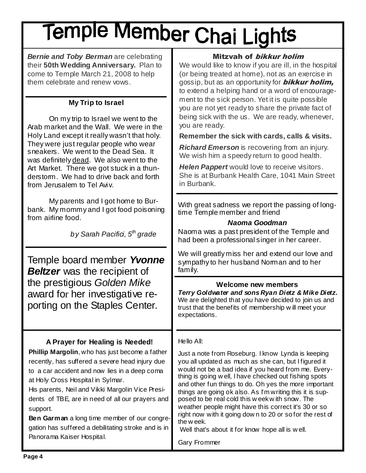# Temple Member Chai Lights

**Bernie and Toby Berman** are celebrating their **50th Wedding Anniversary.** Plan to come to Temple March 21, 2008 to help them celebrate and renew vows.

#### **My Trip to Israel**

 On my trip to Israel we went to the Arab market and the Wall. We were in the Holy Land except it really wasn't that holy. They were just regular people who wear sneakers. We went to the Dead Sea. It was definitely dead. We also went to the Art Market. There we got stuck in a thunderstorm. We had to drive back and forth from Jerusalem to Tel Aviv.

 My parents and I got home to Burbank. My mommy and I got food poisoning from airline food.

by Sarah Pacifici,  $5<sup>th</sup>$  grade

Temple board member **Yvonne Beltzer** was the recipient of the prestigious Golden Mike award for her investigative reporting on the Staples Center.

#### **A Prayer for Healing is Needed!**

**Phillip Margolin**, who has just become a father recently, has suffered a severe head injury due to a car accident and now lies in a deep coma at Holy Cross Hospital in Sylmar.

His parents, Neil and Vikki Margolin Vice Presidents of TBE, are in need of all our prayers and support.

**Ben Garman** a long time member of our congregation has suffered a debilitating stroke and is in Panorama Kaiser Hospital.

#### Mitzvah of bikkur holim

We would like to know if you are ill, in the hospital (or being treated at home), not as an exercise in gossip, but as an opportunity for **bikkur holim,** to extend a helping hand or a word of encouragement to the sick person. Yet it is quite possible you are not yet ready to share the private fact of being sick with the us. We are ready, whenever, you are ready.

**Remember the sick with cards, calls & visits.** 

**Richard Emerson** is recovering from an injury. We wish him a speedy return to good health.

**Helen Pappert** would love to receive visitors. She is at Burbank Health Care, 1041 Main Street in Burbank.

With great sadness we report the passing of longtime Temple member and friend

#### **Naoma Goodman**

Naoma was a past president of the Temple and had been a professional singer in her career.

We will greatly miss her and extend our love and sympathy to her husband Norman and to her family.

#### **Welcome new members**

**Terry Goldwater and sons Ryan Dietz & Mike Dietz.**  We are delighted that you have decided to join us and trust that the benefits of membership w ill meet your expectations.

#### Hello All:

Just a note from Roseburg. I know Lynda is keeping you all updated as much as she can, but I figured it would not be a bad idea if you heard from me. Everything is going w ell, I have checked out fishing spots and other fun things to do. Oh yes the more important things are going ok also. As I'm writing this it is supposed to be real cold this w eek w ith snow. The weather people might have this correct it's 30 or so right now with it going dow n to 20 or so for the rest of the w eek.

Well that's about it for know hope all is w ell.

Gary Frommer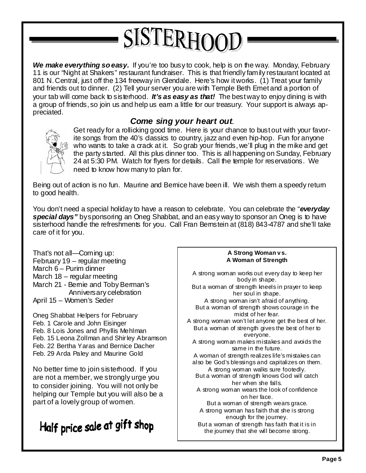## SISTERHOOD

We make everything so easy. If you're too busy to cook, help is on the way. Monday, February 11 is our "Night at Shakers" restaurant fundraiser. This is that friendly family restaurant located at 801 N. Central, just off the 134 freeway in Glendale. Here's how it works. (1) Treat your family and friends out to dinner. (2) Tell your server you are with Temple Beth Emet and a portion of your tab will come back to sisterhood. **It's as easy as that!** The best way to enjoy dining is with a group of friends, so join us and help us earn a little for our treasury. Your support is always appreciated.

#### **Come sing your heart out**.



Get ready for a rollicking good time. Here is your chance to bust out with your favorite songs from the 40's classics to country, jazz and even hip-hop. Fun for anyone who wants to take a crack at it. So grab your friends, we'll plug in the mike and get the party started. All this plus dinner too. This is all happening on Sunday, February 24 at 5:30 PM. Watch for flyers for details. Call the temple for reservations. We need to know how many to plan for.

Being out of action is no fun. Maurine and Bemice have been ill. We wish them a speedy retum to good health.

You don't need a special holiday to have a reason to celebrate. You can celebrate the "**everyday special days"** by sponsoring an Oneg Shabbat, and an easy way to sponsor an Oneg is to have sisterhood handle the refreshments for you. Call Fran Bernstein at (818) 843-4787 and she'll take care of it for you.

That's not all—Coming up: February 19 – regular meeting March 6 – Purim dinner March 18 – regular meeting March 21 - Bemie and Toby Berman's Anniversary celebration April 15 – Women's Seder

Oneg Shabbat Helpers for February Feb. 1 Carole and John Eisinger Feb. 8 Lois Jones and Phyllis Mehlman Feb. 15 Leona Zollman and Shirley Abramson Feb. 22 Bertha Yaras and Bernice Dacher Feb. 29 Arda Paley and Maurine Gold

No better time to join sisterhood. If you are not a member, we strongly urge you to consider joining. You will not only be helping our Temple but you will also be a part of a lovely group of women.

### Half price sale at gift shop

#### **A Strong Woman v s. A Woman of Strength**

A strong woman works out every day to keep her body in shape. But a woman of strength kneels in prayer to keep her soul in shape. A strong woman isn't afraid of anything. But a woman of strength shows courage in the midst of her fear. A strong woman won't let anyone get the best of her. But a woman of strength gives the best of her to everyone. A strong woman makes mistakes and avoids the same in the future. A woman of strength realizes life's mistakes can also be God's blessings and capitalizes on them. A strong woman walks sure footedly. But a woman of strength knows God will catch her when she falls. A strong woman wears the look of confidence on her face. But a woman of strength wears grace. A strong woman has faith that she is strong enough for the journey. But a woman of strength has faith that it is in the journey that she will become strong.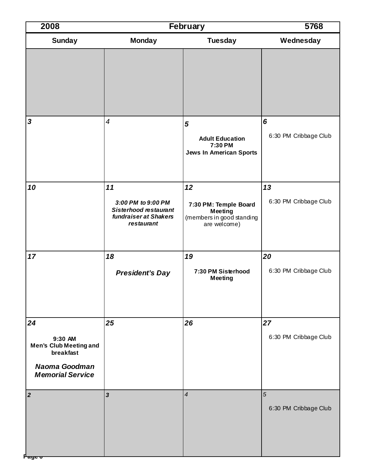| 2008                                                                                                           | February                                                                                        |                                                                                            | 5768                        |
|----------------------------------------------------------------------------------------------------------------|-------------------------------------------------------------------------------------------------|--------------------------------------------------------------------------------------------|-----------------------------|
| <b>Sunday</b>                                                                                                  | <b>Monday</b>                                                                                   | <b>Tuesday</b>                                                                             | Wednesday                   |
|                                                                                                                |                                                                                                 |                                                                                            |                             |
| $\mathbf{3}$                                                                                                   | $\overline{4}$                                                                                  | 5<br><b>Adult Education</b><br>7:30 PM<br><b>Jews In American Sports</b>                   | 6<br>6:30 PM Cribbage Club  |
| 10                                                                                                             | 11<br>3:00 PM to 9:00 PM<br><b>Sisterhood restaurant</b><br>fundraiser at Shakers<br>restaurant | 12<br>7:30 PM: Temple Board<br><b>Meeting</b><br>(members in good standing<br>are welcome) | 13<br>6:30 PM Cribbage Club |
| 17                                                                                                             | 18<br><b>President's Day</b>                                                                    | 19<br>7:30 PM Sisterhood<br><b>Meeting</b>                                                 | 20<br>6:30 PM Cribbage Club |
| 24<br>9:30 AM<br><b>Men's Club Meeting and</b><br>breakfast<br><b>Naoma Goodman</b><br><b>Memorial Service</b> | 25                                                                                              | 26                                                                                         | 27<br>6:30 PM Cribbage Club |
| $\boldsymbol{2}$<br>P <del>age o</del>                                                                         | $\overline{\mathbf{3}}$                                                                         | $\overline{4}$                                                                             | 5<br>6:30 PM Cribbage Club  |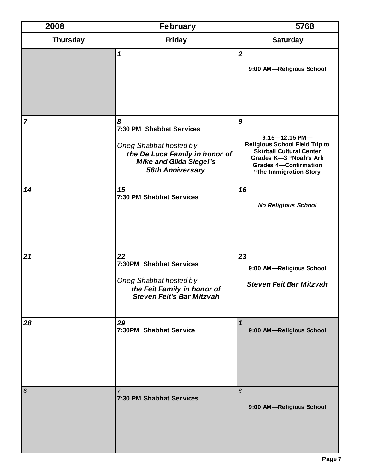| 2008            | <b>February</b>                                                                                                                                        | 5768                                                                                                                                                                                    |
|-----------------|--------------------------------------------------------------------------------------------------------------------------------------------------------|-----------------------------------------------------------------------------------------------------------------------------------------------------------------------------------------|
| <b>Thursday</b> | <b>Friday</b>                                                                                                                                          | <b>Saturday</b>                                                                                                                                                                         |
|                 | $\boldsymbol{\mathcal{L}}$                                                                                                                             | $\overline{2}$<br>9:00 AM-Religious School                                                                                                                                              |
| $\overline{7}$  | 8<br>7:30 PM Shabbat Services<br>Oneg Shabbat hosted by<br>the De Luca Family in honor of<br><b>Mike and Gilda Siegel's</b><br><b>56th Anniversary</b> | 9<br>$9:15 - 12:15$ PM-<br><b>Religious School Field Trip to</b><br><b>Skirball Cultural Center</b><br>Grades K-3 "Noah's Ark<br><b>Grades 4-Confirmation</b><br>"The Immigration Story |
| 14              | 15<br>7:30 PM Shabbat Services                                                                                                                         | 16<br><b>No Religious School</b>                                                                                                                                                        |
| 21              | 22<br>7:30PM Shabbat Services<br>Oneg Shabbat hosted by<br>the Feit Family in honor of<br><b>Steven Feit's Bar Mitzvah</b>                             | 23<br>9:00 AM-Religious School<br><b>Steven Feit Bar Mitzvah</b>                                                                                                                        |
| 28              | 29<br>7:30PM Shabbat Service                                                                                                                           | $\mathbf{1}$<br>9:00 AM-Religious School                                                                                                                                                |
| 6               | $\overline{7}$<br>7:30 PM Shabbat Services                                                                                                             | $\boldsymbol{\delta}$<br>9:00 AM-Religious School                                                                                                                                       |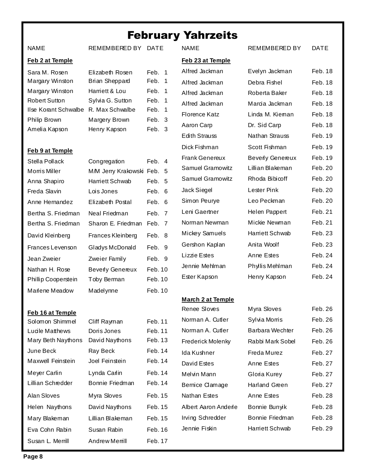#### February Yahrzeits

**Feb 23 at Temple**

REMEMBERED BY DATE

#### **Feb 2 at Temple**

| Sara M. Rosen                        | Elizabeth Rosen       | Feb. 1 |  |
|--------------------------------------|-----------------------|--------|--|
| Margary Winston                      | <b>Brian Sheppard</b> | Feb. 1 |  |
| Margary Winston                      | Harriett & Lou        | Feb. 1 |  |
| <b>Robert Sutton</b>                 | Sylvia G. Sutton      | Feb. 1 |  |
| Ilse Korant Schwalbe R. Max Schwalbe |                       | Feb. 1 |  |
| Philip Brown                         | Margery Brown         | Feb. 3 |  |
| Amelia Kapson                        | Henry Kapson          | Feb. 3 |  |

#### **Feb 9 at Temple**

**Feb 16 at Temple**

| Stella Pollack      | Congregation             | Feb. 4  |     |
|---------------------|--------------------------|---------|-----|
| Morris Miller       | M/M Jerry Krakowski Feb. |         | - 5 |
| Anna Shapiro        | Harriett Schwab          | Feb.    | -5  |
| Freda Slavin        | Lois Jones               | Feb. 6  |     |
| Anne Hernandez      | Elizabeth Postal         | Feb. 6  |     |
| Bertha S. Friedman  | Neal Friedman            | Feb. 7  |     |
| Bertha S. Friedman  | Sharon E. Friedman       | Feb. 7  |     |
| David Kleinberg     | Frances Kleinberg        | Feb. 8  |     |
| Frances Levenson    | Gladys McDonald          | Feb. 9  |     |
| Jean Zweier         | Zweier Family            | Feb. 9  |     |
| Nathan H. Rose      | <b>Beverly Genereux</b>  | Feb. 10 |     |
| Phillip Cooperstein | Toby Berman              | Feb. 10 |     |
| Marlene Meadow      | Madelynne                | Feb. 10 |     |

Solomon Shimmel Cliff Rayman Feb. 11 Lucile Matthews Doris Jones Feb. 11 Mary Beth Naythons David Naythons Feb. 13 June Beck Ray Beck Feb. 14 Maxwell Feinstein Joel Feinstein Feb. 14 Meyer Carlin Lynda Carlin Feb. 14 Lillian Schredder Bonnie Friedman Feb. 14

Alan Sloves Myra Sloves Feb. 15 Helen Naythons David Naythons Feb. 15 Mary Blakeman Lillian Blakeman Feb. 15 Eva Cohn Rabin Susan Rabin Feb. 16 Susan L. Merrill Andrew Merrill Feb. 17

#### Aaron Carp **Edith Strauss** Dick Fishman Frank Genereux Samuel Gramowitz Samuel Gramowitz Jack Siegel Simon Peurve Leni Gaertner Norman Newman Mickey Samuels Gershon Kaplan Lizzie Estes Jennie Mehlman Ester Kapson

#### **March 2 at Temple**

Norman A. Cutler Sylvi Norman A. Cutler Barba Frederick Molenky Rabb Ida Kushner Freda David Estes Feb. 2010 Melvin Mann Gloria Bernice Clamage Harla Nathan Estes **Anne** Albert Aaron Anderle Bonn Irving Schredder Bonn Jennie Fiskin Harriett Schwab Feb. 29

#### NAME REMEMBERED BY DATE

| Alfred Jackman          | Evelyn Jackman          | Feb. 18 |
|-------------------------|-------------------------|---------|
| Alfred Jackman          | Debra Fishel            | Feb. 18 |
| Alfred Jackman          | Roberta Baker           | Feb. 18 |
| Alfred Jackman          | Marcia Jackman          | Feb. 18 |
| Florence Katz           | Linda M. Kieman         | Feb. 18 |
| Aaron Carp              | Dr. Sid Carp            | Feb. 18 |
| <b>Edith Strauss</b>    | Nathan Strauss          | Feb. 19 |
| Dick Fishman            | Scott Fishman           | Feb. 19 |
| <b>Frank Genereux</b>   | <b>Beverly Genereux</b> | Feb. 19 |
| <b>Samuel Gramowitz</b> | Lillian Blakeman        | Feb. 20 |
| <b>Samuel Gramowitz</b> | Rhoda Bibicoff          | Feb. 20 |
| Jack Siegel             | Lester Pink             | Feb. 20 |
| Simon Peurye            | Leo Peckman             | Feb. 20 |
| Leni Gaertner           | Helen Pappert           | Feb. 21 |
| Norman Newman           | Mickie Newman           | Feb. 21 |
| Mickey Samuels          | Harriett Schwab         | Feb. 23 |
| Gershon Kaplan          | Anita Woolf             | Feb. 23 |
| Lizzie Estes            | Anne Estes              | Feb. 24 |
| Jennie Mehlman          | Phylis Mehlman          | Feb. 24 |
| Ester Kapson            | Henry Kapson            | Feb. 24 |
|                         |                         |         |

Renee Sloves Myra Sloves Feb. 26

| ៲៴៲៴៴៰៵       | 1 GU. ZU |
|---------------|----------|
| a Morris      | Feb. 26  |
| ara Wechter   | Feb. 26  |
| oi Mark Sobel | Feb. 26  |
| a Murez       | Feb. 27  |
| <b>E</b> stes | Feb. 27  |
| a Kurey       | Feb. 27  |
| and Green     | Feb. 27  |
| e Estes       | Feb. 28  |
| iie Bunyik    | Feb. 28  |
| nie Friedman  | Feb. 28  |
|               |          |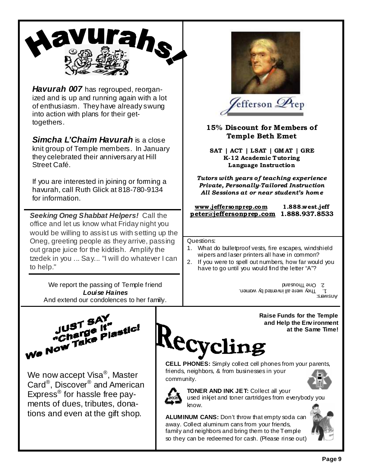

**Havurah 007** has regrouped, reorganized and is up and running again with a lot of enthusiasm. They have already swung into action with plans for their gettogethers.

**Simcha L'Chaim Havurah** is a close knit group of Temple members. In January they celebrated their anniversary at Hill Street Café.

If you are interested in joining or forming a havurah, call Ruth Glick at 818-780-9134 for information.

**Seeking Oneg Shabbat Helpers!** Call the office and let us know what Friday night you would be willing to assist us with setting up the Oneg, greeting people as they arrive, passing out grape juice for the kiddish. Amplify the tzedek in you ... Say... "I will do whatever I can to help."

We report the passing of Temple friend **Louise Haines**  And extend our condolences to her fam**i**ly.



Lefferson  $\mathscr{D}_\mathrm{rep}$ 

15% Discount for Members of Temple Beth Emet

SAT | ACT | LSAT | GM AT | GRE K-12 Academic Tutoring Language Instruction

Tutors with years of teaching experience Private, Personally-Tailored Instruction All Sessions at or near student's hom e

#### www .jeffersonprep.com 1.888.west.jeff peter@jeffersonprep .com 1.888.937.8533

Questions:

- 1. What do bulletproof vests, fire escapes, windshield wipers and laser printers all have in common?
- 2. If you were to spell out numbers, how far would you have to go until you would find the letter "A"?

1. They were all invented by women. Z. One Ihousand

Answers:



We now accept Visa®, Master Card<sup>®</sup>, Discover<sup>®</sup> and American Express<sup>®</sup> for hassle free payments of dues, tributes, donations and even at the gift shop.

**Raise Funds for the Temple and Help the Env ironment at the Same Time!**

# **CECYCLING**<br>CELL PHONES: Simply collect cell phones from your parents,

friends, neighbors, & from businesses in your community.



**TONER AND INK JET:** Collect all your used inkjet and toner cartridges from everybody you know.

**ALUMINUM CANS:** Don't throw that empty soda can away. Collect aluminum cans from your friends, family and neighbors and bring them to the Temple so they can be redeemed for cash. (Please rinse out)

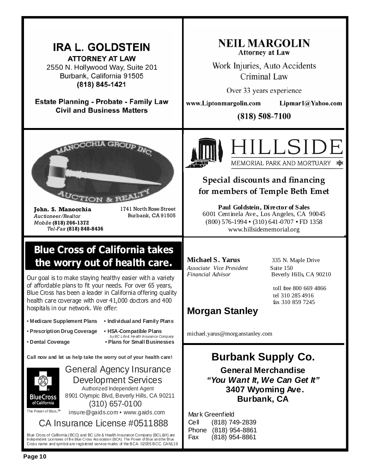#### **NEIL MARGOLIN IRA L. GOLDSTEIN Attorney at Law ATTORNEY AT LAW** Work Injuries, Auto Accidents 2550 N. Hollywood Way, Suite 201 Burbank, California 91505 Criminal Law (818) 845-1421 Over 33 years experience **Estate Planning - Probate - Family Law** www.Liptonmargolin.com  $Lipmar1@Yahoo.com$ **Civil and Business Matters**  $(818) 508 - 7100$ **AANOCCHIA GROUD** ILLSI MEMORIAL PARK AND MORTUARY <del>●</del> Special discounts and financing for members of Temple Beth Emet <sup>J</sup>CTION & REA **Paul Goldstein, Director of Sales**  John. S. Manocchia 1741 North Rose Street 6001 Centinela Ave., Los Angeles, CA 90045 Burbank, CA 91505 Auctioneer/Realtor (800) 576-1994 ▪ (310) 641-0707 ▪ FD 1358 Mobile (818) 266-1372 Tel-Fax (818) 848-8436 www.hillsidememorial.org Blue Cross of California takes **Michael S. Yarus** 335 N. Maple Drive the worry out of health care. *Associate Vice President* Suite 150 *Financial Advisor* Beverly Hills, CA 90210 Our goal is to make staying healthy easier with a variety of affordable plans to fit your needs. For over 65 years, toll free 800 669 4866 Blue Cross has been a leader in California offering quality tel 310 285 4916 health care coverage with over 41,000 doctors and 400 fax 310 859 7245 hospitals in our network. We offer: **Morgan Stanley**  • **Medicare Supplement Plans • Individual and Family Plans** • **Prescription Drug Coverage • HSA-Compatible Plans** michael.yarus@morganstanley.com by BC Life & Health Insurance Company • **Dental Coverage • Plans for Small Businesses Burbank Supply Co. Call now and let us help take the worry out of your health care!**  General Agency Insurance **General Merchandise "You Want It, We Can Get It"**  Development Services Authorized Independent Agent **3407 Wyoming Ave.**  8901 Olympic Blvd, Beverly Hills, CA 90211 BlueCross **Burbank, CA**  of California (310) 657-0100 The Power of Blue.<sup>34</sup> insure@gaids.com • www.gaids.com Mark Greenfield CA Insurance License #0511888 Cell (818) 749-2839 Phone (818) 954-8861

Fax (818) 954-8861

Blue Cross of California (BCC) and BC Life & Health Insurance Company (BCL&H) are Independent Licensees of the Blue Cross Association (BCA). The Power of Blue and the Blue Cross name and symbol are registered service marks of the BCA. ©2005 BCC. CAN119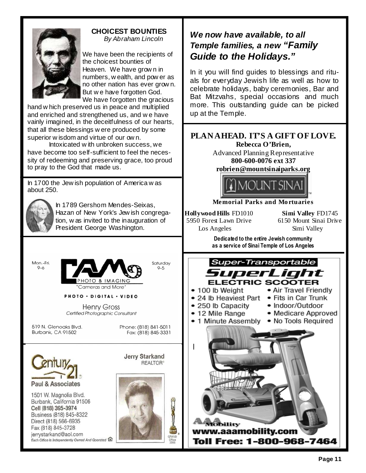

#### **CHOICEST BOUNTIES**  By Abraham Lincoln

We have been the recipients of the choicest bounties of Heaven. We have grow n in numbers, w ealth, and pow er as no other nation has ever grow n. But w e have forgotten God. We have forgotten the gracious

hand w hich preserved us in peace and multiplied and enriched and strengthened us, and w e have vainly imagined, in the deceitfulness of our hearts, that all these blessings w ere produced by some superior w isdom and virtue of our ow n.

Intoxicated w ith unbroken success, we have become too self-sufficient to feel the necessity of redeeming and preserving grace, too proud to pray to the God that made us.

In 1700 the Jew ish population of America w as about 250.



In 1789 Gershom Mendes-Seixas, Hazan of New York's Jew ish congregation, w as invited to the inauguration of President George Washington.

Mon.-Fri.  $9 - 6$ 



PHOTO . DIGITAL . VIDEO

**Henry Gross** Certified Photographic Consultant

519 N. Glenoaks Blvd. Burbank, CA 91502

Phone: (818) 841-5011 Fax: (818) 845-3331



1501 W. Magnolia Blvd. Burbank, California 91506 Cell (818) 395-3974 Business (818) 845-8322 Direct (818) 566-6935 Fax (818) 845-3728 jerrystarkand@aol.com Each Office Is Independently Owned And Operated **Jerry Starkand REALTOR®** 



#### **We now have available, to all Temple families, a new "Family Guide to the Holidays."**

In it you will find guides to blessings and rituals for everyday Jewish life as well as how to celebrate holidays, baby ceremonies, Bar and Bat Mitzvahs, special occasions and much more. This outstanding guide can be picked up at the Temple.